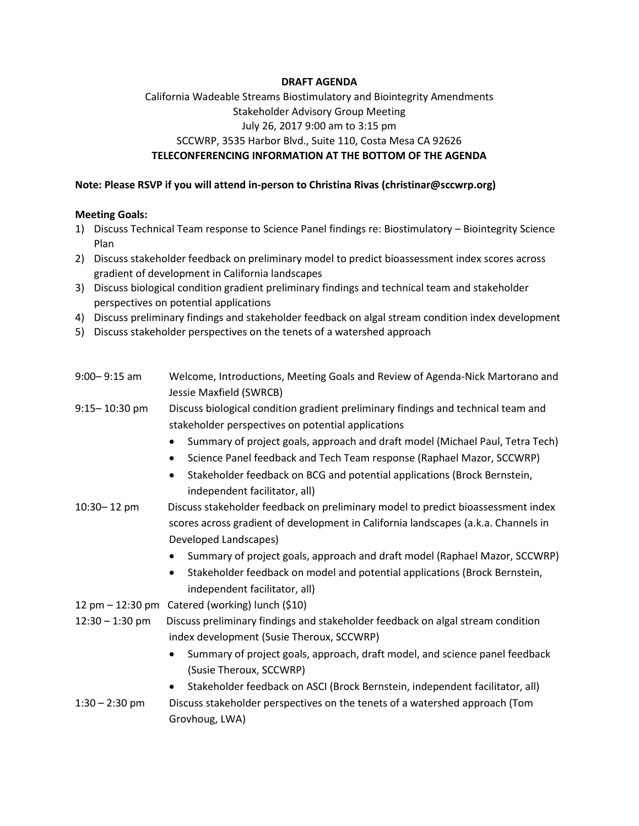#### **DRAFT AGENDA**

# California Wadeable Streams Biostimulatory and Biointegrity Amendments Stakeholder Advisory Group Meeting July 26, 2017 9:00 am to 3:15 pm SCCWRP, 3535 Harbor Blvd., Suite 110, Costa Mesa CA 92626 **TELECONFERENCING INFORMATION AT THE BOTTOM OF THE AGENDA**

### **Note: Please RSVP if you will attend in-person to Christina Rivas (christinar@sccwrp.org)**

#### **Meeting Goals:**

- 1) Discuss Technical Team response to Science Panel findings re: Biostimulatory Biointegrity Science Plan
- 2) Discuss stakeholder feedback on preliminary model to predict bioassessment index scores across gradient of development in California landscapes
- 3) Discuss biological condition gradient preliminary findings and technical team and stakeholder perspectives on potential applications
- 4) Discuss preliminary findings and stakeholder feedback on algal stream condition index development
- 5) Discuss stakeholder perspectives on the tenets of a watershed approach

| $9:00 - 9:15$ am  | Welcome, Introductions, Meeting Goals and Review of Agenda-Nick Martorano and<br>Jessie Maxfield (SWRCB)                                                               |
|-------------------|------------------------------------------------------------------------------------------------------------------------------------------------------------------------|
| $9:15 - 10:30$ pm | Discuss biological condition gradient preliminary findings and technical team and<br>stakeholder perspectives on potential applications                                |
|                   | Summary of project goals, approach and draft model (Michael Paul, Tetra Tech)<br>$\bullet$                                                                             |
|                   | Science Panel feedback and Tech Team response (Raphael Mazor, SCCWRP)<br>$\bullet$                                                                                     |
|                   | Stakeholder feedback on BCG and potential applications (Brock Bernstein,<br>independent facilitator, all)                                                              |
| 10:30-12 pm       | Discuss stakeholder feedback on preliminary model to predict bioassessment index<br>scores across gradient of development in California landscapes (a.k.a. Channels in |
|                   | Developed Landscapes)                                                                                                                                                  |
|                   | Summary of project goals, approach and draft model (Raphael Mazor, SCCWRP)                                                                                             |
|                   | Stakeholder feedback on model and potential applications (Brock Bernstein,<br>independent facilitator, all)                                                            |
|                   | 12 pm - 12:30 pm Catered (working) lunch (\$10)                                                                                                                        |
| $12:30 - 1:30$ pm | Discuss preliminary findings and stakeholder feedback on algal stream condition<br>index development (Susie Theroux, SCCWRP)                                           |
|                   | Summary of project goals, approach, draft model, and science panel feedback<br>(Susie Theroux, SCCWRP)                                                                 |
|                   | Stakeholder feedback on ASCI (Brock Bernstein, independent facilitator, all)<br>$\bullet$                                                                              |
| $1:30 - 2:30$ pm  | Discuss stakeholder perspectives on the tenets of a watershed approach (Tom                                                                                            |
|                   | Grovhoug, LWA)                                                                                                                                                         |